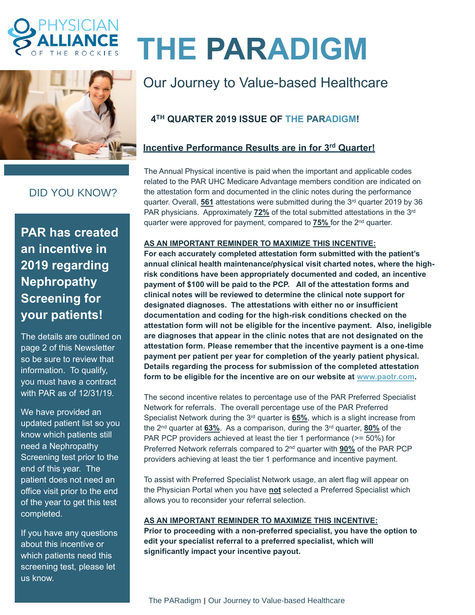



# **THE PARADIGM**

# Our Journey to Value-based Healthcare

# **4 TH QUARTER 2019 ISSUE OF THE PARADIGM!**

## **Incentive Performance Results are in for 3 rd Quarter!**

The Annual Physical incentive is paid when the important and applicable codes related to the PAR UHC Medicare Advantage members condition are indicated on the attestation form and documented in the clinic notes during the performance quarter. Overall, **561** attestations were submitted during the 3<sup>rd</sup> quarter 2019 by 36 PAR physicians. Approximately 72% of the total submitted attestations in the 3<sup>rd</sup> quarter were approved for payment, compared to **75%** for the 2 nd quarter.

### **AS AN IMPORTANT REMINDER TO MAXIMIZE THIS INCENTIVE:**

**For each accurately completed attestation form submitted with the patient's annual clinical health maintenance/physical visit charted notes, where the highrisk conditions have been appropriately documented and coded, an incentive payment of \$100 will be paid to the PCP. All of the attestation forms and clinical notes will be reviewed to determine the clinical note support for designated diagnoses. The attestations with either no or insufficient documentation and coding for the high-risk conditions checked on the attestation form will not be eligible for the incentive payment. Also, ineligible are diagnoses that appear in the clinic notes that are not designated on the attestation form. Please remember that the incentive payment is a one-time payment per patient per year for completion of the yearly patient physical. Details regarding the process for submission of the completed attestation form to be eligible for the incentive are on our website at [www.paotr.com.](http://www.paotr.com/)** 

The second incentive relates to percentage use of the PAR Preferred Specialist Network for referrals. The overall percentage use of the PAR Preferred Specialist Network during the 3<sup>rd</sup> quarter is **65%**, which is a slight increase from the 2 nd quarter at **63%**. As a comparison, during the 3 rd quarter, **80%** of the PAR PCP providers achieved at least the tier 1 performance (>= 50%) for Preferred Network referrals compared to 2 nd quarter with **90%** of the PAR PCP providers achieving at least the tier 1 performance and incentive payment.

To assist with Preferred Specialist Network usage, an alert flag will appear on the Physician Portal when you have **not** selected a Preferred Specialist which allows you to reconsider your referral selection.

#### **AS AN IMPORTANT REMINDER TO MAXIMIZE THIS INCENTIVE:**

**Prior to proceeding with a non-preferred specialist, you have the option to edit your specialist referral to a preferred specialist, which will significantly impact your incentive payout.**

# DID YOU KNOW?

**PAR has created an incentive in 2019 regarding Nephropathy Screening for your patients!**

The details are outlined on page 2 of this Newsletter so be sure to review that information. To qualify, you must have a contract with PAR as of 12/31/19.

We have provided an updated patient list so you know which patients still need a Nephropathy Screening test prior to the end of this year. The patient does not need an office visit prior to the end of the year to get this test completed.

If you have any questions about this incentive or which patients need this screening test, please let us know.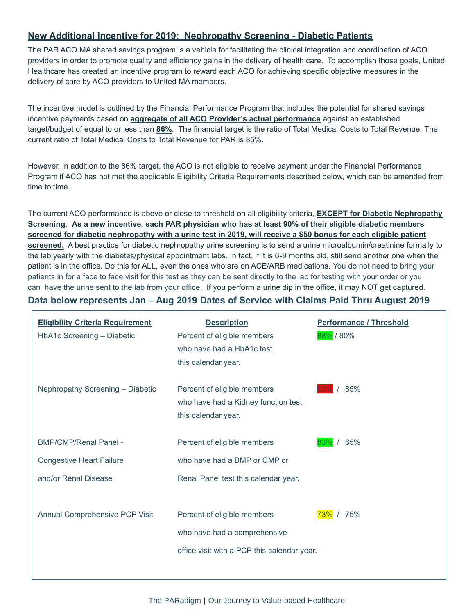#### **New Additional Incentive for 2019: Nephropathy Screening - Diabetic Patients**

The PAR ACO MA shared savings program is a vehicle for facilitating the clinical integration and coordination of ACO providers in order to promote quality and efficiency gains in the delivery of health care. To accomplish those goals, United Healthcare has created an incentive program to reward each ACO for achieving specific objective measures in the delivery of care by ACO providers to United MA members.

The incentive model is outlined by the Financial Performance Program that includes the potential for shared savings incentive payments based on **aggregate of all ACO Provider's actual performance** against an established target/budget of equal to or less than **86%**. The financial target is the ratio of Total Medical Costs to Total Revenue. The current ratio of Total Medical Costs to Total Revenue for PAR is 85%.

However, in addition to the 86% target, the ACO is not eligible to receive payment under the Financial Performance Program if ACO has not met the applicable Eligibility Criteria Requirements described below, which can be amended from time to time.

The current ACO performance is above or close to threshold on all eligibility criteria, **EXCEPT for Diabetic Nephropathy Screening**. **As a new incentive, each PAR physician who has at least 90% of their eligible diabetic members screened for diabetic nephropathy with a urine test in 2019, will receive a \$50 bonus for each eligible patient screened.** A best practice for diabetic nephropathy urine screening is to send a urine microalbumin/creatinine formally to the lab yearly with the diabetes/physical appointment labs. In fact, if it is 6-9 months old, still send another one when the patient is in the office. Do this for ALL, even the ones who are on ACE/ARB medications. You do not need to bring your patients in for a face to face visit for this test as they can be sent directly to the lab for testing with your order or you can have the urine sent to the lab from your office. If you perform a urine dip in the office, it may NOT get captured.

#### **Data below represents Jan – Aug 2019 Dates of Service with Claims Paid Thru August 2019**

| <b>Eligibility Criteria Requirement</b><br>HbA1c Screening - Diabetic | <b>Description</b><br>Percent of eligible members<br>who have had a HbA1c test<br>this calendar year. | <b>Performance / Threshold</b><br>88% / 80% |
|-----------------------------------------------------------------------|-------------------------------------------------------------------------------------------------------|---------------------------------------------|
| Nephropathy Screening - Diabetic                                      | Percent of eligible members<br>who have had a Kidney function test<br>this calendar year.             | 85%                                         |
| <b>BMP/CMP/Renal Panel -</b>                                          | Percent of eligible members                                                                           | 65%<br>83%                                  |
| <b>Congestive Heart Failure</b>                                       | who have had a BMP or CMP or                                                                          |                                             |
| and/or Renal Disease                                                  | Renal Panel test this calendar year.                                                                  |                                             |
|                                                                       |                                                                                                       |                                             |
| Annual Comprehensive PCP Visit                                        | Percent of eligible members                                                                           | 75%<br><mark>73%</mark> /                   |
|                                                                       | who have had a comprehensive                                                                          |                                             |
|                                                                       | office visit with a PCP this calendar year.                                                           |                                             |
|                                                                       |                                                                                                       |                                             |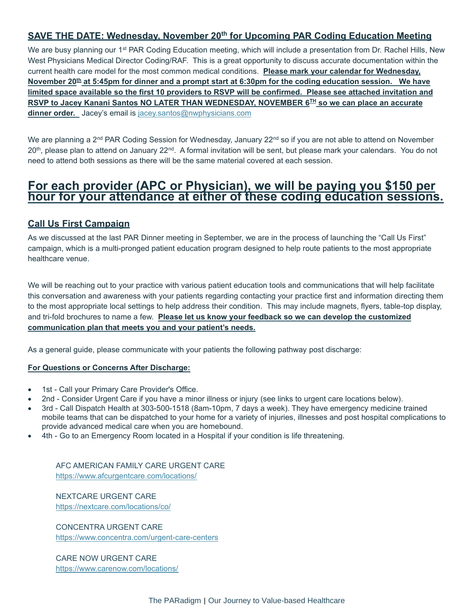#### **SAVE THE DATE: Wednesday, November 20 th for Upcoming PAR Coding Education Meeting**

We are busy planning our 1<sup>st</sup> PAR Coding Education meeting, which will include a presentation from Dr. Rachel Hills, New West Physicians Medical Director Coding/RAF. This is a great opportunity to discuss accurate documentation within the current health care model for the most common medical conditions. **Please mark your calendar for Wednesday, November 20 th at 5:45pm for dinner and a prompt start at 6:30pm for the coding education session. We have limited space available so the first 10 providers to RSVP will be confirmed. Please see attached invitation and RSVP to Jacey Kanani Santos NO LATER THAN WEDNESDAY, NOVEMBER 6 TH so we can place an accurate dinner order.** Jacey's email is [jacey.santos@nwphysicians.com](mailto:jacey.santos@nwphysicians.com)

We are planning a 2<sup>nd</sup> PAR Coding Session for Wednesday, January 22<sup>nd</sup> so if you are not able to attend on November 20<sup>th</sup>, please plan to attend on January 22<sup>nd</sup>. A formal invitation will be sent, but please mark your calendars. You do not need to attend both sessions as there will be the same material covered at each session.

# **For each provider (APC or Physician), we will be paying you \$150 per hour for your attendance at either of these coding education sessions.**

#### **Call Us First Campaign**

As we discussed at the last PAR Dinner meeting in September, we are in the process of launching the "Call Us First" campaign, which is a multi-pronged patient education program designed to help route patients to the most appropriate healthcare venue.

We will be reaching out to your practice with various patient education tools and communications that will help facilitate this conversation and awareness with your patients regarding contacting your practice first and information directing them to the most appropriate local settings to help address their condition. This may include magnets, flyers, table-top display, and tri-fold brochures to name a few. **Please let us know your feedback so we can develop the customized communication plan that meets you and your patient's needs.**

As a general guide, please communicate with your patients the following pathway post discharge:

#### **For Questions or Concerns After Discharge:**

- 1st Call your Primary Care Provider's Office.
- 2nd Consider Urgent Care if you have a minor illness or injury (see links to urgent care locations below).
- 3rd Call Dispatch Health at 303-500-1518 (8am-10pm, 7 days a week). They have emergency medicine trained mobile teams that can be dispatched to your home for a variety of injuries, illnesses and post hospital complications to provide advanced medical care when you are homebound.
- 4th Go to an Emergency Room located in a Hospital if your condition is life threatening.

AFC AMERICAN FAMILY CARE URGENT CARE <https://www.afcurgentcare.com/locations/>

NEXTCARE URGENT CARE <https://nextcare.com/locations/co/>

CONCENTRA URGENT CARE <https://www.concentra.com/urgent-care-centers>

CARE NOW URGENT CARE <https://www.carenow.com/locations/>